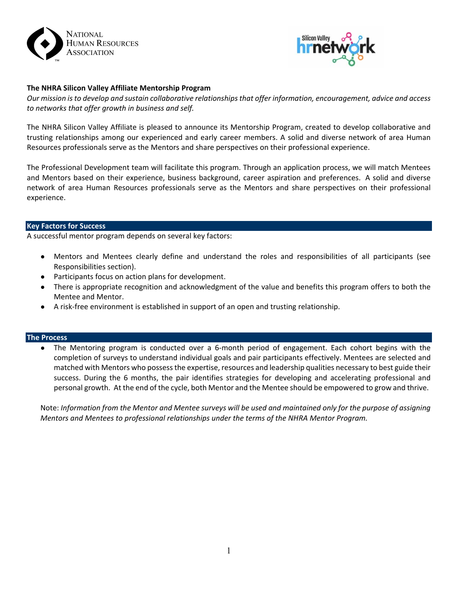



# **The NHRA Silicon Valley Affiliate Mentorship Program**

*Our mission is to develop and sustain collaborative relationships that offer information, encouragement, advice and access to networks that offer growth in business and self.*

The NHRA Silicon Valley Affiliate is pleased to announce its Mentorship Program, created to develop collaborative and trusting relationships among our experienced and early career members. A solid and diverse network of area Human Resources professionals serve as the Mentors and share perspectives on their professional experience.

The Professional Development team will facilitate this program. Through an application process, we will match Mentees and Mentors based on their experience, business background, career aspiration and preferences. A solid and diverse network of area Human Resources professionals serve as the Mentors and share perspectives on their professional experience.

### **Key Factors for Success**

A successful mentor program depends on several key factors:

- Mentors and Mentees clearly define and understand the roles and responsibilities of all participants (see Responsibilities section).
- Participants focus on action plans for development.
- There is appropriate recognition and acknowledgment of the value and benefits this program offers to both the Mentee and Mentor.
- A risk‐free environment is established in support of an open and trusting relationship.

### **The Process**

● The Mentoring program is conducted over a 6‐month period of engagement. Each cohort begins with the completion of surveys to understand individual goals and pair participants effectively. Mentees are selected and matched with Mentors who possess the expertise, resources and leadership qualities necessary to best guide their success. During the 6 months, the pair identifies strategies for developing and accelerating professional and personal growth. At the end of the cycle, both Mentor and the Mentee should be empowered to grow and thrive.

Note: *Information from the Mentor and Mentee surveys will be used and maintained only for the purpose of assigning Mentors and Mentees to professional relationships under the terms of the NHRA Mentor Program.*